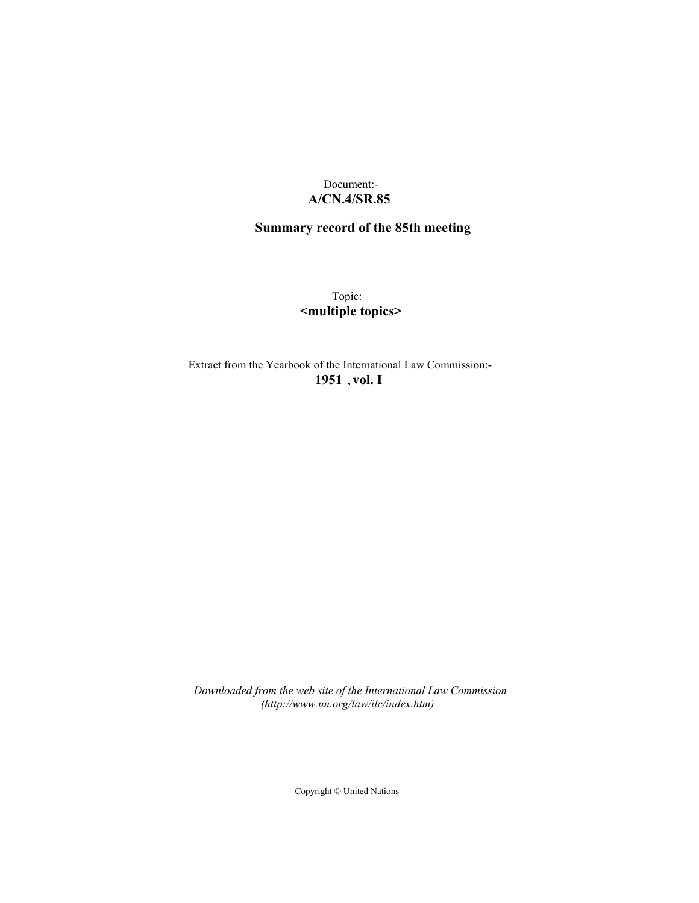# Document:- **A/CN.4/SR.85**

# **Summary record of the 85th meeting**

Topic: **<multiple topics>**

Extract from the Yearbook of the International Law Commission:- **1951** ,**vol. I**

*Downloaded from the web site of the International Law Commission (http://www.un.org/law/ilc/index.htm)*

Copyright © United Nations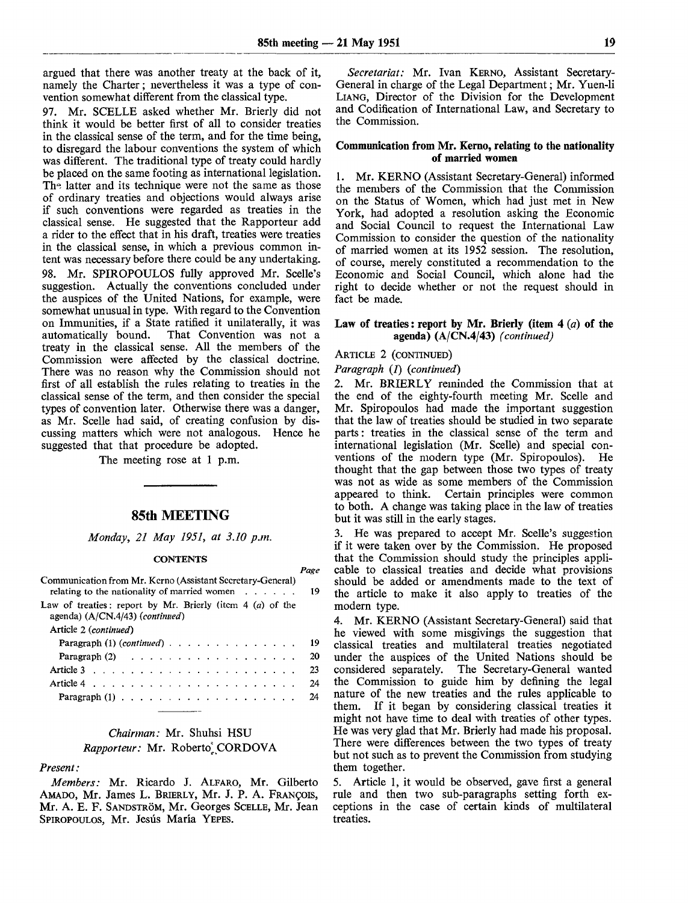*Page*

argued that there was another treaty at the back of it, namely the Charter; nevertheless it was a type of convention somewhat different from the classical type.

97. Mr. SCELLE asked whether Mr. Brierly did not think it would be better first of all to consider treaties in the classical sense of the term, and for the time being, to disregard the labour conventions the system of which was different. The traditional type of treaty could hardly be placed on the same footing as international legislation. Th<sup>-</sup> latter and its technique were not the same as those of ordinary treaties and objections would always arise if such conventions were regarded as treaties in the classical sense. He suggested that the Rapporteur add a rider to the effect that in his draft, treaties were treaties in the classical sense, in which a previous common intent was necessary before there could be any undertaking. 98. Mr. SPIROPOULOS fully approved Mr. Scelle's suggestion. Actually the conventions concluded under the auspices of the United Nations, for example, were somewhat unusual in type. With regard to the Convention on Immunities, if a State ratified it unilaterally, it was That Convention was not a treaty in the classical sense. All the members of the Commission were affected by the classical doctrine. There was no reason why the Commission should not first of all establish the rules relating to treaties in the classical sense of the term, and then consider the special types of convention later. Otherwise there was a danger, as Mr. Scelle had said, of creating confusion by discussing matters which were not analogous. Hence he suggested that that procedure be adopted.

The meeting rose at 1 p.m.

### 85th MEETING

*Monday, 21 May 1951, at 3.10 p.m.*

#### **CONTENTS**

| Communication from Mr. Kerno (Assistant Secretary-General)<br>relating to the nationality of married women $\dots$ | 19 |
|--------------------------------------------------------------------------------------------------------------------|----|
| Law of treaties: report by Mr. Brierly (item $4(a)$ of the<br>agenda) $(A/CN.4/43)$ (continued)                    |    |
| Article 2 (continued)                                                                                              |    |
| Paragraph $(1)$ (continued) $\ldots$ $\ldots$ $\ldots$ $\ldots$ $\ldots$ $\ldots$                                  | 19 |
| Paragraph $(2)$                                                                                                    | 20 |
|                                                                                                                    | 23 |
| Article 4 $\ldots$ $\ldots$ $\ldots$ $\ldots$ $\ldots$ $\ldots$ $\ldots$ $\ldots$                                  | 24 |
|                                                                                                                    | 24 |

## *Chairman:* Mr. Shuhsi HSU *Rapporteur:* Mr. Roberto], CORDOVA

### *Present:*

*Members:* Mr. Ricardo J. ALFARO, Mr. Gilberto AMADO, Mr. James L. BRIERLY, Mr. J. P. A. FRANCOIS, Mr. A. E. F. SANDSTRÖM, Mr. Georges SCELLE, Mr. Jean SPIROPOULOS, Mr. Jesús María YEPES.

*Secretariat:* Mr. Ivan KERNO, Assistant Secretary-General in charge of the Legal Department; Mr. Yuen-li LIANG, Director of the Division for the Development and Codification of International Law, and Secretary to the Commission.

#### **Commumcation from Mr. Kerno, relating to the nationality of married women**

**1.** Mr. KERNO (Assistant Secretary-General) informed the members of the Commission that the Commission on the Status of Women, which had just met in New York, had adopted a resolution asking the Economic and Social Council to request the International Law Commission to consider the question of the nationality of married women at its 1952 session. The resolution, of course, merely constituted a recommendation to the Economic and Social Council, which alone had the right to decide whether or not the request should in fact be made.

#### **Law of treaties**: **report by Mr. Brierly (item 4** *(a)* **of the agenda) (A/CN.4/43)** *(continued)*

#### ARTICLE 2 (CONTINUED)

*Paragraph (1) (continued)*

*2.* Mr. BRIERLY reminded the Commission that at the end of the eighty-fourth meeting Mr. Scelle and Mr. Spiropoulos had made the important suggestion that the law of treaties should be studied in two separate parts: treaties in the classical sense of the term and international legislation (Mr. Scelle) and special conventions of the modern type (Mr. Spiropoulos). He thought that the gap between those two types of treaty was not as wide as some members of the Commission appeared to think. Certain principles were common to both. A change was taking place in the law of treaties but it was still in the early stages.

3. He was prepared to accept Mr. Scelle's suggestion if it were taken over by the Commission. He proposed that the Commission should study the principles applicable to classical treaties and decide what provisions should be added or amendments made to the text of the article to make it also apply to treaties of the modern type.

4. Mr. KERNO (Assistant Secretary-General) said that he viewed with some misgivings the suggestion that classical treaties and multilateral treaties negotiated under the auspices of the United Nations should be considered separately. The Secretary-General wanted the Commission to guide him by defining the legal nature of the new treaties and the rules applicable to them. If it began by considering classical treaties it might not have time to deal with treaties of other types. He was very glad that Mr. Brierly had made his proposal. There were differences between the two types of treaty but not such as to prevent the Commission from studying them together.

5. Article 1, it would be observed, gave first a general rule and then two sub-paragraphs setting forth exceptions in the case of certain kinds of multilateral treaties.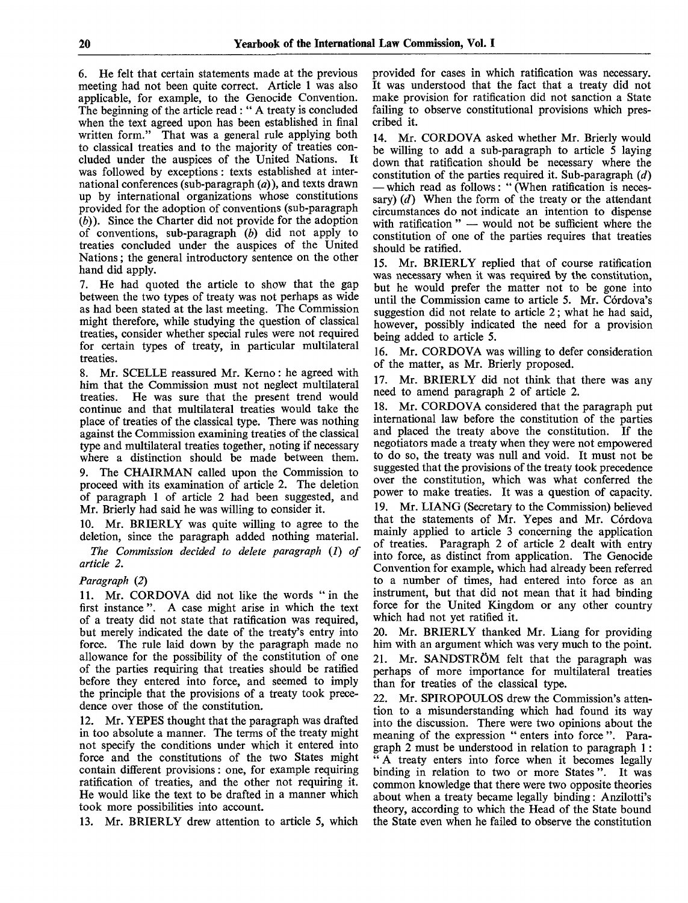6. He felt that certain statements made at the previous meeting had not been quite correct. Article 1 was also applicable, for example, to the Genocide Convention. The beginning of the article read: " A treaty is concluded when the text agreed upon has been established in final written form." That was a general rule applying both to classical treaties and to the majority of treaties concluded under the auspices of the United Nations. It was followed by exceptions: texts established at international conferences (sub-paragraph *(a)),* and texts drawn up by international organizations whose constitutions provided for the adoption of conventions (sub-paragraph *(b)).* Since the Charter did not provide for the adoption of conventions, sub-paragraph *(b)* did not apply to treaties concluded under the auspices of the United Nations; the general introductory sentence on the other hand did apply.

7. He had quoted the article to show that the gap between the two types of treaty was not perhaps as wide as had been stated at the last meeting. The Commission might therefore, while studying the question of classical treaties, consider whether special rules were not required for certain types of treaty, in particular multilateral treaties.

8. Mr. SCELLE reassured Mr. Kerno: he agreed with him that the Commission must not neglect multilateral treaties. He was sure that the present trend would continue and that multilateral treaties would take the place of treaties of the classical type. There was nothing against the Commission examining treaties of the classical type and multilateral treaties together, noting if necessary where a distinction should be made between them. The CHAIRMAN called upon the Commission to proceed with its examination of article 2. The deletion of paragraph 1 of article 2 had been suggested, and Mr. Brierly had said he was willing to consider it.

10. Mr. BRIERLY was quite willing to agree to the deletion, since the paragraph added nothing material.

*The Commission decided to delete paragraph* (/) *of article 2.*

### *Paragraph* (2)

11. Mr. CORDOVA did not like the words "in the first instance ". A case might arise in which the text of a treaty did not state that ratification was required, but merely indicated the date of the treaty's entry into force. The rule laid down by the paragraph made no allowance for the possibility of the constitution of one of the parties requiring that treaties should be ratified before they entered into force, and seemed to imply the principle that the provisions of a treaty took precedence over those of the constitution.

12. Mr. YEPES thought that the paragraph was drafted in too absolute a manner. The terms of the treaty might not specify the conditions under which it entered into force and the constitutions of the two States might contain different provisions: one, for example requiring ratification of treaties, and the other not requiring it. He would like the text to be drafted in a manner which took more possibilities into account.

13. Mr. BRIERLY drew attention to article 5, which

provided for cases in which ratification was necessary. It was understood that the fact that a treaty did not make provision for ratification did not sanction a State failing to observe constitutional provisions which prescribed it.

14. Mr. CORDOVA asked whether Mr. Brierly would be willing to add a sub-paragraph to article 5 laying down that ratification should be necessary where the constitution of the parties required it. Sub-paragraph *(d)* — which read as follows: " (When ratification is necessary) *(d)* When the form of the treaty or the attendant circumstances do not indicate an intention to dispense with ratification " — would not be sufficient where the constitution of one of the parties requires that treaties should be ratified.

15. Mr. BRIERLY replied that of course ratification was necessary when it was required by the constitution, but he would prefer the matter not to be gone into until the Commission came to article 5. Mr. Córdova's suggestion did not relate to article 2; what he had said, however, possibly indicated the need for a provision being added to article 5.

16. Mr. CORDOVA was willing to defer consideration of the matter, as Mr. Brierly proposed.

17. Mr. BRIERLY did not think that there was any need to amend paragraph 2 of article 2.

18. Mr. CORDOVA considered that the paragraph put international law before the constitution of the parties and placed the treaty above the constitution. If the negotiators made a treaty when they were not empowered to do so, the treaty was null and void. It must not be suggested that the provisions of the treaty took precedence over the constitution, which was what conferred the power to make treaties. It was a question of capacity. 19. Mr. LIANG (Secretary to the Commission) believed that the statements of Mr. Yepes and Mr. Córdova mainly applied to article 3 concerning the application of treaties. Paragraph 2 of article 2 dealt with entry into force, as distinct from application. The Genocide Convention for example, which had already been referred to a number of times, had entered into force as an instrument, but that did not mean that it had binding force for the United Kingdom or any other country which had not yet ratified it.

20. Mr. BRIERLY thanked Mr. Liang for providing him with an argument which was very much to the point. 21. Mr. SANDSTRÖM felt that the paragraph was perhaps of more importance for multilateral treaties than for treaties of the classical type.

22. Mr. SPIROPOULOS drew the Commission's attention to a misunderstanding which had found its way into the discussion. There were two opinions about the meaning of the expression " enters into force ". Paragraph 2 must be understood in relation to paragraph 1: " A treaty enters into force when it becomes legally binding in relation to two or more States ". It was common knowledge that there were two opposite theories about when a treaty became legally binding: Anzilotti's theory, according to which the Head of the State bound the State even when he failed to observe the constitution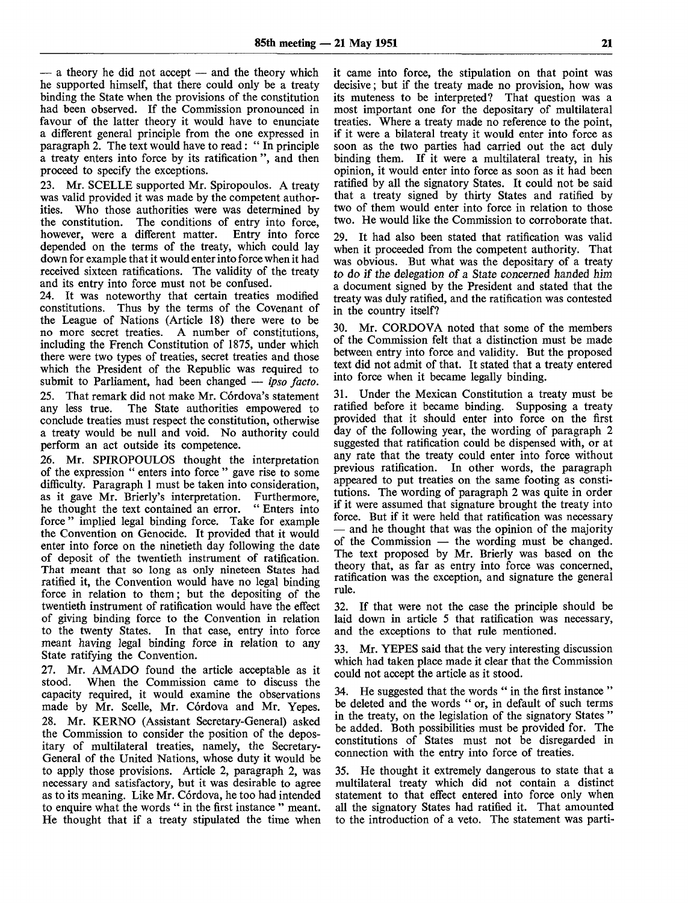— a theory he did not accept — and the theory which he supported himself, that there could only be a treaty binding the State when the provisions of the constitution had been observed. If the Commission pronounced in favour of the latter theory it would have to enunciate a different general principle from the one expressed in paragraph 2. The text would have to read: " In principle a treaty enters into force by its ratification ", and then proceed to specify the exceptions.

23. Mr. SCELLE supported Mr. Spiropoulos. A treaty was valid provided it was made by the competent authorities. Who those authorities were was determined by the constitution. The conditions of entry into force, however, were a different matter. Entry into force depended on the terms of the treaty, which could lay down for example that it would enter into force when it had received sixteen ratifications. The validity of the treaty and its entry into force must not be confused.

24. It was noteworthy that certain treaties modified constitutions. Thus by the terms of the Covenant of the League of Nations (Article 18) there were to be no more secret treaties. A number of constitutions, including the French Constitution of 1875, under which there were two types of treaties, secret treaties and those which the President of the Republic was required to submit to Parliament, had been changed — *ipso facto.* 25. That remark did not make Mr. Córdova's statement any less true. The State authorities empowered to conclude treaties must respect the constitution, otherwise a treaty would be null and void. No authority could perform an act outside its competence.

26. Mr. SPIROPOULOS thought the interpretation of the expression " enters into force " gave rise to some difficulty. Paragraph 1 must be taken into consideration, as it gave Mr. Brierly's interpretation. Furthermore, as it gave Mr. Brierly's interpretation. Furthermore, he thought the text contained an error. "Enters into he thought the text contained an error. force " implied legal binding force. Take for example the Convention on Genocide. It provided that it would enter into force on the ninetieth day following the date of deposit of the twentieth instrument of ratification. That meant that so long as only nineteen States had ratified it, the Convention would have no legal binding force in relation to them; but the depositing of the twentieth instrument of ratification would have the effect of giving binding force to the Convention in relation to the twenty States. In that case, entry into force meant having legal binding force in relation to any State ratifying the Convention.

27. Mr. AMADO found the article acceptable as it stood. When the Commission came to discuss the capacity required, it would examine the observations made by Mr. Scelle, Mr. Córdova and Mr. Yepes. 28. Mr. KERNO (Assistant Secretary-General) asked the Commission to consider the position of the depositary of multilateral treaties, namely, the Secretary-General of the United Nations, whose duty it would be to apply those provisions. Article 2, paragraph *2,* was necessary and satisfactory, but it was desirable to agree as to its meaning. Like Mr. Córdova, he too had intended to enquire what the words " in the first instance " meant. He thought that if a treaty stipulated the time when it came into force, the stipulation on that point was decisive; but if the treaty made no provision, how was its muteness to be interpreted? That question was a most important one for the depositary of multilateral treaties. Where a treaty made no reference to the point, if it were a bilateral treaty it would enter into force as soon as the two parties had carried out the act duly binding them. If it were a multilateral treaty, in his opinion, it would enter into force as soon as it had been ratified by all the signatory States. It could not be said that a treaty signed by thirty States and ratified by two of them would enter into force in relation to those two. He would like the Commission to corroborate that.

29. It had also been stated that ratification was valid when it proceeded from the competent authority. That was obvious. But what was the depositary of a treaty to do if the delegation of a State concerned handed him a document signed by the President and stated that the treaty was duly ratified, and the ratification was contested in the country itself?

30. Mr. CORDOVA noted that some of the members of the Commission felt that a distinction must be made between entry into force and validity. But the proposed text did not admit of that. It stated that a treaty entered into force when it became legally binding.

31. Under the Mexican Constitution a treaty must be ratified before it became binding. Supposing a treaty provided that it should enter into force on the first day of the following year, the wording of paragraph 2 suggested that ratification could be dispensed with, or at any rate that the treaty could enter into force without previous ratification. In other words, the paragraph appeared to put treaties on the same footing as constitutions. The wording of paragraph 2 was quite in order if it were assumed that signature brought the treaty into force. But if it were held that ratification was necessary — and he thought that was the opinion of the majority of the Commission — the wording must be changed. The text proposed by Mr. Brierly was based on the theory that, as far as entry into force was concerned, ratification was the exception, and signature the general rule.

32. If that were not the case the principle should be laid down in article 5 that ratification was necessary, and the exceptions to that rule mentioned.

33. Mr. YEPES said that the very interesting discussion which had taken place made it clear that the Commission could not accept the article as it stood.

34. He suggested that the words " in the first instance " be deleted and the words " or, in default of such terms in the treaty, on the legislation of the signatory States " be added. Both possibilities must be provided for. The constitutions of States must not be disregarded in connection with the entry into force of treaties.

35. He thought it extremely dangerous to state that a multilateral treaty which did not contain a distinct statement to that effect entered into force only when all the signatory States had ratified it. That amounted to the introduction of a veto. The statement was parti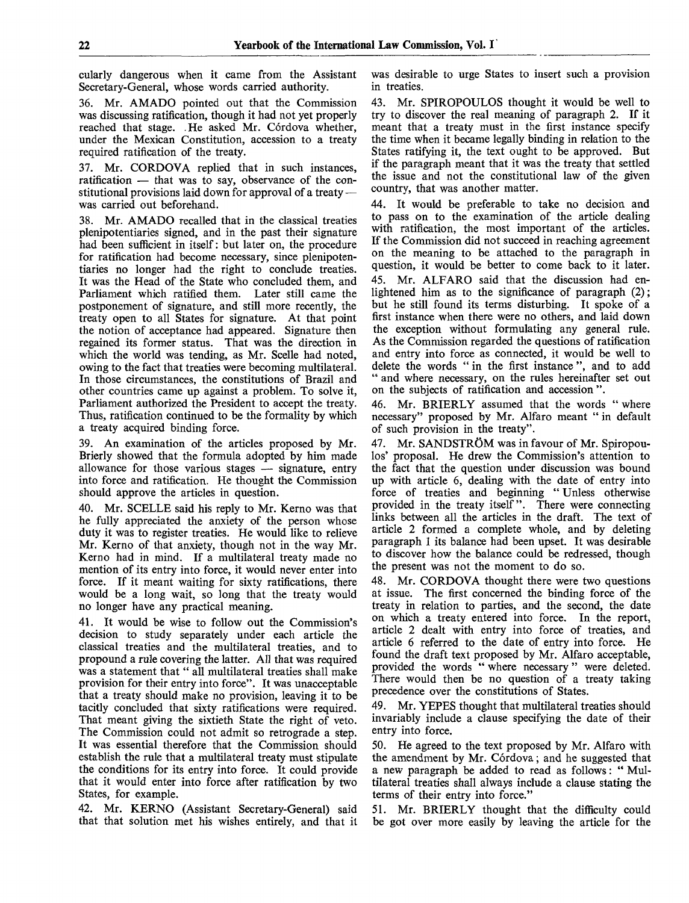cularly dangerous when it came from the Assistant Secretary-General, whose words carried authority.

36. Mr. AMADO pointed out that the Commission was discussing ratification, though it had not yet properly reached that stage. . He asked Mr. Córdova whether, under the Mexican Constitution, accession to a treaty required ratification of the treaty.

37. Mr. CORDOVA replied that in such instances, ratification — that was to say, observance of the constitutional provisions laid down for approval of a treaty was carried out beforehand.

38. Mr. AMADO recalled that in the classical treaties plenipotentiaries signed, and in the past their signature had been sufficient in itself: but later on, the procedure for ratification had become necessary, since plenipotentiaries no longer had the right to conclude treaties. It was the Head of the State who concluded them, and Parliament which ratified them. Later still came the postponement of signature, and still more recently, the treaty open to all States for signature. At that point the notion of acceptance had appeared. Signature then regained its former status. That was the direction in which the world was tending, as Mr. Scelle had noted, owing to the fact that treaties were becoming multilateral. In those circumstances, the constitutions of Brazil and other countries came up against a problem. To solve it, Parliament authorized the President to accept the treaty. Thus, ratification continued to be the formality by which a treaty acquired binding force.

39. An examination of the articles proposed by Mr. Brierly showed that the formula adopted by him made allowance for those various stages — signature, entry into force and ratification. He thought the Commission should approve the articles in question.

40. Mr. SCELLE said his reply to Mr. Kerno was that he fully appreciated the anxiety of the person whose duty it was to register treaties. He would like to relieve Mr. Kerno of that anxiety, though not in the way Mr. Kerno had in mind. If a multilateral treaty made no mention of its entry into force, it would never enter into force. If it meant waiting for sixty ratifications, there would be a long wait, so long that the treaty would no longer have any practical meaning.

41. It would be wise to follow out the Commission's decision to study separately under each article the classical treaties and the multilateral treaties, and to propound a rule covering the latter. All that was required was a statement that " all multilateral treaties shall make provision for their entry into force". It was unacceptable that a treaty should make no provision, leaving it to be tacitly concluded that sixty ratifications were required. That meant giving the sixtieth State the right of veto. The Commission could not admit so retrograde a step. It was essential therefore that the Commission should establish the rule that a multilateral treaty must stipulate the conditions for its entry into force. It could provide that it would enter into force after ratification by two States, for example.

42. Mr. KERNO (Assistant Secretary-General) said that that solution met his wishes entirely, and that it was desirable to urge States to insert such a provision in treaties.

43. Mr. SPIROPOULOS thought it would be well to try to discover the real meaning of paragraph 2. If it meant that a treaty must in the first instance specify the time when it became legally binding in relation to the States ratifying it, the text ought to be approved. But if the paragraph meant that it was the treaty that settled the issue and not the constitutional law of the given country, that was another matter.

44. It would be preferable to take no decision and to pass on to the examination of the article dealing with ratification, the most important of the articles. If the Commission did not succeed in reaching agreement on the meaning to be attached to the paragraph in question, it would be better to come back to it later. 45. Mr. ALFARO said that the discussion had enlightened him as to the significance of paragraph (2); but he still found its terms disturbing. It spoke of a first instance when there were no others, and laid down the exception without formulating any general rule. As the Commission regarded the questions of ratification and entry into force as connected, it would be well to delete the words " in the first instance ", and to add " and where necessary, on the rules hereinafter set out on the subjects of ratification and accession ".

46. Mr. BRIERLY assumed that the words " where necessary" proposed by Mr. Alfaro meant " in default of such provision in the treaty".

47. Mr. SANDSTRÖM was in favour of Mr. Spiropoulos' proposal. He drew the Commission's attention to the fact that the question under discussion was bound up with article 6, dealing with the date of entry into force of treaties and beginning " Unless otherwise provided in the treaty itself". There were connecting links between all the articles in the draft. The text of article 2 formed a complete whole, and by deleting paragraph 1 its balance had been upset. It was desirable to discover how the balance could be redressed, though the present was not the moment to do so.

48. Mr. CORDOVA thought there were two questions at issue. The first concerned the binding force of the treaty in relation to parties, and the second, the date on which a treaty entered into force. In the report, article 2 dealt with entry into force of treaties, and article 6 referred to the date of entry into force. He found the draft text proposed by Mr. Alfaro acceptable, provided the words " where necessary " were deleted. There would then be no question of a treaty taking precedence over the constitutions of States.

49. Mr. YEPES thought that multilateral treaties should invariably include a clause specifying the date of their entry into force.

50. He agreed to the text proposed by Mr. Alfaro with the amendment by Mr. Córdova; and he suggested that a new paragraph be added to read as follows: " Multilateral treaties shall always include a clause stating the terms of their entry into force."

51. Mr. BRIERLY thought that the difficulty could be got over more easily by leaving the article for the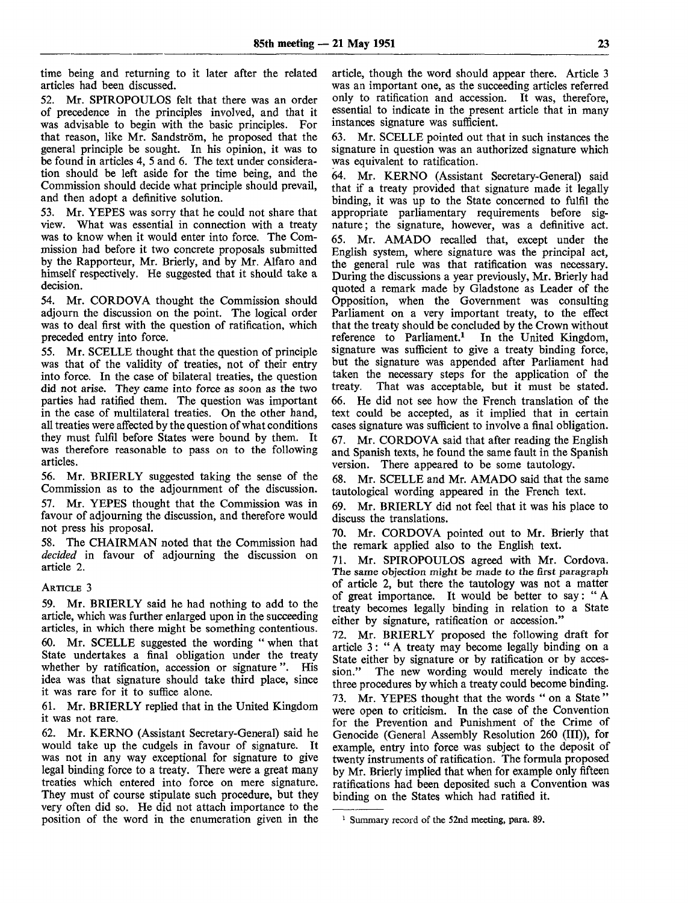time being and returning to it later after the related articles had been discussed.

52. Mr. SPIROPOULOS felt that there was an order of precedence in the principles involved, and that it was advisable to begin with the basic principles. For that reason, like Mr. Sandström, he proposed that the general principle be sought. In his opinion, it was to be found in articles 4, 5 and 6. The text under consideration should be left aside for the time being, and the Commission should decide what principle should prevail, and then adopt a definitive solution.

53. Mr. YEPES was sorry that he could not share that view. What was essential in connection with a treaty was to know when it would enter into force. The Commission had before it two concrete proposals submitted by the Rapporteur, Mr. Brierly, and by Mr. Alfaro and himself respectively. He suggested that it should take a decision.

54. Mr. CORDOVA thought the Commission should adjourn the discussion on the point. The logical order was to deal first with the question of ratification, which preceded entry into force.

55. Mr. SCELLE thought that the question of principle was that of the validity of treaties, not of their entry into force. In the case of bilateral treaties, the question did not arise. They came into force as soon as the two parties had ratified them. The question was important in the case of multilateral treaties. On the other hand, all treaties were affected by the question of what conditions they must fulfil before States were bound by them. It was therefore reasonable to pass on to the following articles.

56. Mr. BRIERLY suggested taking the sense of the Commission as to the adjournment of the discussion. 57. Mr. YEPES thought that the Commission was in favour of adjourning the discussion, and therefore would not press his proposal.

58. The CHAIRMAN noted that the Commission had *decided* in favour of adjourning the discussion on article 2.

### ARTICLE 3

59. Mr. BRIERLY said he had nothing to add to the article, which was further enlarged upon in the succeeding articles, in which there might be something contentious. 60. Mr. SCELLE suggested the wording " when that State undertakes a final obligation under the treaty whether by ratification, accession or signature ". His idea was that signature should take third place, since it was rare for it to suffice alone.

61. Mr. BRIERLY replied that in the United Kingdom it was not rare.

62. Mr. KERNO (Assistant Secretary-General) said he would take up the cudgels in favour of signature. It was not in any way exceptional for signature to give legal binding force to a treaty. There were a great many treaties which entered into force on mere signature. They must of course stipulate such procedure, but they very often did so. He did not attach importance to the position of the word in the enumeration given in the

article, though the word should appear there. Article 3 was an important one, as the succeeding articles referred only to ratification and accession. It was, therefore, essential to indicate in the present article that in many instances signature was sufficient.

63. Mr. SCELLE pointed out that in such instances the signature in question was an authorized signature which was equivalent to ratification.

64. Mr. KERNO (Assistant Secretary-General) said that if a treaty provided that signature made it legally binding, it was up to the State concerned to fulfil the appropriate parliamentary requirements before signature; the signature, however, was a definitive act. 65. Mr. AMADO recalled that, except under the English system, where signature was the principal act, the general rule was that ratification was necessary. During the discussions a year previously, Mr. Brierly had quoted a remark made by Gladstone as Leader of the Opposition, when the Government was consulting Parliament on a very important treaty, to the effect that the treaty should be concluded by the Crown without reference to Parliament.<sup>1</sup> In the United Kingdom, signature was sufficient to give a treaty binding force, but the signature was appended after Parliament had taken the necessary steps for the application of the treaty. That was acceptable, but it must be stated. 66. He did not see how the French translation of the text could be accepted, as it implied that in certain cases signature was sufficient to involve a final obligation. 67. Mr. CORDOVA said that after reading the English and Spanish texts, he found the same fault in the Spanish version. There appeared to be some tautology.

68. Mr. SCELLE and Mr. AMADO said that the same tautological wording appeared in the French text.

69. Mr. BRIERLY did not feel that it was his place to discuss the translations.

70. Mr. CORDOVA pointed out to Mr. Brierly that the remark applied also to the English text.

71. Mr. SPIROPOULOS agreed with Mr. Cordova. The same objection might be made *to* the first paragraph of article 2, but there the tautology was not a matter of great importance. It would be better to say: " A treaty becomes legally binding in relation to a State either by signature, ratification or accession."

72. Mr. BRIERLY proposed the following draft for article 3: " A treaty may become legally binding on a State either by signature or by ratification or by accession." The new wording would merely indicate the three procedures by which a treaty could become binding.

73. Mr. YEPES thought that the words " on a State " were open to criticism. In the case of the Convention for the Prevention and Punishment of the Crime of Genocide (General Assembly Resolution 260 (III)), for example, entry into force was subject to the deposit of twenty instruments of ratification. The formula proposed by Mr. Brierly implied that when for example only fifteen ratifications had been deposited such a Convention was binding on the States which had ratified it.

<sup>&</sup>lt;sup>1</sup> Summary record of the 52nd meeting, para. 89.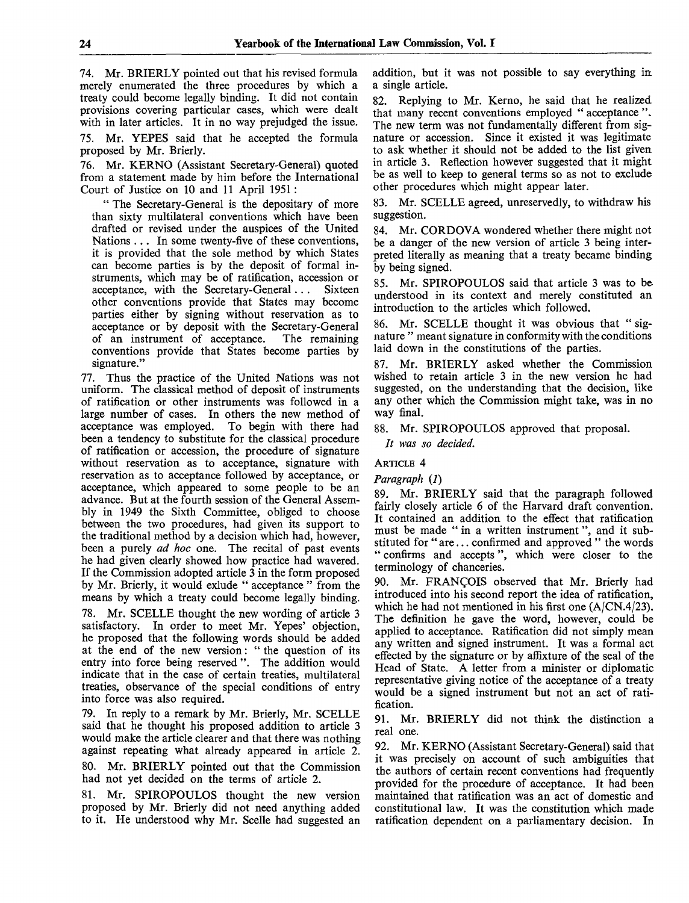74. Mr. BRIERLY pointed out that his revised formula merely enumerated the three procedures by which a treaty could become legally binding. It did not contain provisions covering particular cases, which were dealt with in later articles. It in no way prejudged the issue.

75. Mr. YEPES said that he accepted the formula proposed by Mr. Brierly.

76. Mr. KERNO (Assistant Secretary-General) quoted from a statement made by him before the International Court of Justice on 10 and 11 April 1951:

" The Secretary-General is the depositary of more than sixty multilateral conventions which have been drafted or revised under the auspices of the United Nations . . . In some twenty-five of these conventions, it is provided that the sole method by which States can become parties is by the deposit of formal instruments, which may be of ratification, accession or acceptance, with the Secretary-General.. . Sixteen other conventions provide that States may become parties either by signing without reservation as to acceptance or by deposit with the Secretary-General of an instrument of acceptance. The remaining conventions provide that States become parties by signature."

77. Thus the practice of the United Nations was not uniform. The classical method of deposit of instruments of ratification or other instruments was followed in a large number of cases. In others the new method of acceptance was employed. To begin with there had been a tendency to substitute for the classical procedure of ratification or accession, the procedure of signature without reservation as to acceptance, signature with reservation as to acceptance followed by acceptance, or acceptance, which appeared to some people to be an advance. But at the fourth session of the General Assembly in 1949 the Sixth Committee, obliged to choose between the two procedures, had given its support to the traditional method by a decision which had, however, been a purely *ad hoc* one. The recital of past events he had given clearly showed how practice had wavered. If the Commission adopted article 3 in the form proposed by Mr. Brierly, it would exlude " acceptance " from the means by which a treaty could become legally binding.

78. Mr. SCELLE thought the new wording of article 3 satisfactory. In order to meet Mr. Yepes' objection, he proposed that the following words should be added at the end of the new version: " the question of its entry into force being reserved ". The addition would indicate that in the case of certain treaties, multilateral treaties, observance of the special conditions of entry into force was also required.

79. In reply to a remark by Mr. Brierly, Mr. SCELLE said that he thought his proposed addition to article 3 would make the article clearer and that there was nothing against repeating what already appeared in article 2.

80. Mr. BRIERLY pointed out that the Commission had not yet decided on the terms of article 2.

81. Mr. SPIROPOULOS thought the new version proposed by Mr. Brierly did not need anything added to it. He understood why Mr. Scelle had suggested an addition, but it was not possible to say everything in a single article.

82. Replying to Mr. Kerno, he said that he realized that many recent conventions employed " acceptance ". The new term was not fundamentally different from signature or accession. Since it existed it was legitimate to ask whether it should not be added to the list given in article 3. Reflection however suggested that it might be as well to keep to general terms so as not to exclude other procedures which might appear later.

83. Mr. SCELLE agreed, unreservedly, to withdraw his suggestion.

84. Mr. CORDOVA wondered whether there might not be a danger of the new version of article 3 being interpreted literally as meaning that a treaty became binding by being signed.

85. Mr. SPIROPOULOS said that article 3 was to be understood in its context and merely constituted an introduction to the articles which followed.

86. Mr. SCELLE thought it was obvious that " signature " meant signature in conformity with the conditions laid down in the constitutions of the parties.

87. Mr. BRIERLY asked whether the Commission wished to retain article 3 in the new version he had suggested, on the understanding that the decision, like any other which the Commission might take, was in no way final.

88. Mr. SPIROPOULOS approved that proposal.

*It was so decided.*

### ARTICLE **4**

### *Paragraph (1)*

89. Mr. BRIERLY said that the paragraph followed fairly closely article 6 of the Harvard draft convention. It contained an addition to the effect that ratification must be made " in a written instrument", and it substituted for " are... confirmed and approved " the words " confirms and accepts", which were closer to the terminology of chanceries.

90. Mr. FRANCOIS observed that Mr. Brierly had introduced into his second report the idea of ratification, which he had not mentioned in his first one (A/CN.4/23). The definition he gave the word, however, could be applied to acceptance. Ratification did not simply mean any written and signed instrument. It was a formal act effected by the signature or by affixture of the seal of the Head of State. A letter from a minister or diplomatic representative giving notice of the acceptance of a treaty would be a signed instrument but not an act of ratification.

91. Mr. BRIERLY did not think the distinction a real one.

92. Mr. KERNO (Assistant Secretary-General) said that it was precisely on account of such ambiguities that the authors of certain recent conventions had frequently provided for the procedure of acceptance. It had been maintained that ratification was an act of domestic and constitutional law. It was the constitution which made ratification dependent on a parliamentary decision. In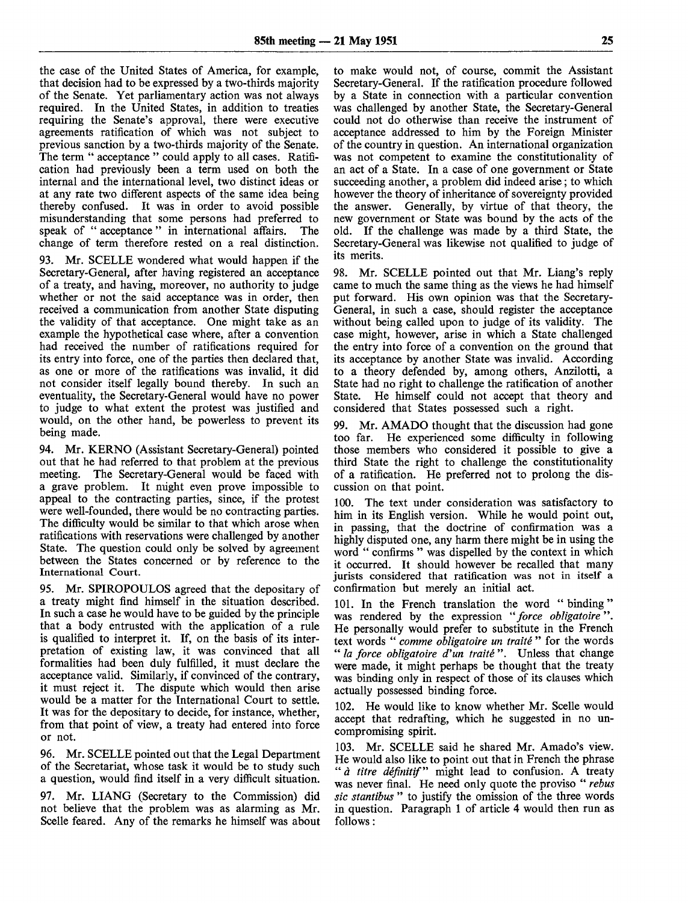the case of the United States of America, for example, that decision had to be expressed by a two-thirds majority of the Senate. Yet parliamentary action was not always required. In the United States, in addition to treaties requiring the Senate's approval, there were executive agreements ratification of which was not subject to previous sanction by a two-thirds majority of the Senate. The term " acceptance " could apply to all cases. Ratification had previously been a term used on both the internal and the international level, two distinct ideas or at any rate two different aspects of the same idea being thereby confused. It was in order to avoid possible misunderstanding that some persons had preferred to speak of " acceptance " in international affairs. The change of term therefore rested on a real distinction.

93. Mr. SCELLE wondered what would happen if the Secretary-General, after having registered an acceptance of a treaty, and having, moreover, no authority to judge whether or not the said acceptance was in order, then received a communication from another State disputing the validity of that acceptance. One might take as an example the hypothetical case where, after a convention had received the number of ratifications required for its entry into force, one of the parties then declared that, as one or more of the ratifications was invalid, it did not consider itself legally bound thereby. In such an eventuality, the Secretary-General would have no power to judge to what extent the protest was justified and would, on the other hand, be powerless to prevent its being made.

94. Mr. KERNO (Assistant Secretary-General) pointed out that he had referred to that problem at the previous meeting. The Secretary-General would be faced with The Secretary-General would be faced with a grave problem. It might even prove impossible to appeal to the contracting parties, since, if the protest were well-founded, there would be no contracting parties. The difficulty would be similar to that which arose when ratifications with reservations were challenged by another State. The question could only be solved by agreement between the States concerned or by reference to the International Court.

95. Mr. SPIROPOULOS agreed that the depositary of a treaty might find himself in the situation described. In such a case he would have to be guided by the principle that a body entrusted with the application of a rule is qualified to interpret it. If, on the basis of its interpretation of existing law, it was convinced that all formalities had been duly fulfilled, it must declare the acceptance valid. Similarly, if convinced of the contrary, it must reject it. The dispute which would then arise would be a matter for the International Court to settle. It was for the depositary to decide, for instance, whether, from that point of view, a treaty had entered into force or not.

96. Mr. SCELLE pointed out that the Legal Department of the Secretariat, whose task it would be to study such a question, would find itself in a very difficult situation.

97. Mr. LIANG (Secretary to the Commission) did not believe that the problem was as alarming as Mr. Scelle feared. Any of the remarks he himself was about to make would not, of course, commit the Assistant Secretary-General. If the ratification procedure followed by a State in connection with a particular convention was challenged by another State, the Secretary-General could not do otherwise than receive the instrument of acceptance addressed to him by the Foreign Minister of the country in question. An international organization was not competent to examine the constitutionality of an act of a State. In a case of one government or State succeeding another, a problem did indeed arise; to which however the theory of inheritance of sovereignty provided the answer. Generally, by virtue of that theory, the new government or State was bound by the acts of the old. If the challenge was made by a third State, the Secretary-General was likewise not qualified to judge of its merits.

98. Mr. SCELLE pointed out that Mr. Liang's reply came to much the same thing as the views he had himself put forward. His own opinion was that the Secretary-General, in such a case, should register the acceptance without being called upon to judge of its validity. The case might, however, arise in which a State challenged the entry into force of a convention on the ground that its acceptance by another State was invalid. According to a theory defended by, among others, Anzilotti, a State had no right to challenge the ratification of another State. He himself could not accept that theory and considered that States possessed such a right.

99. Mr. AMADO thought that the discussion had gone too far. He experienced some difficulty in following those members who considered it possible to give a third State the right to challenge the constitutionality of a ratification. He preferred not to prolong the discussion on that point.

100. The text under consideration was satisfactory to him in its English version. While he would point out, in passing, that the doctrine of confirmation was a highly disputed one, any harm there might be in using the word " confirms " was dispelled by the context in which it occurred. It should however be recalled that many jurists considered that ratification was not in itself a confirmation but merely an initial act.

101. In the French translation the word "binding" was rendered by the expression *"force obligatoire*". He personally would prefer to substitute in the French text words " *comme obligatoire un traite* " for the words " *la force obligatoire d'un traite* ". Unless that change were made, it might perhaps be thought that the treaty was binding only in respect of those of its clauses which actually possessed binding force.

102. He would like to know whether Mr. Scelle would accept that redrafting, which he suggested in no uncompromising spirit.

103. Mr. SCELLE said he shared Mr. Amado's view. He would also like to point out that in French the phrase " *a titre definitif"* might lead to confusion. A treaty was never final. He need only quote the proviso " *rebus sic stantibus* " to justify the omission of the three words in question. Paragraph 1 of article 4 would then run as follows: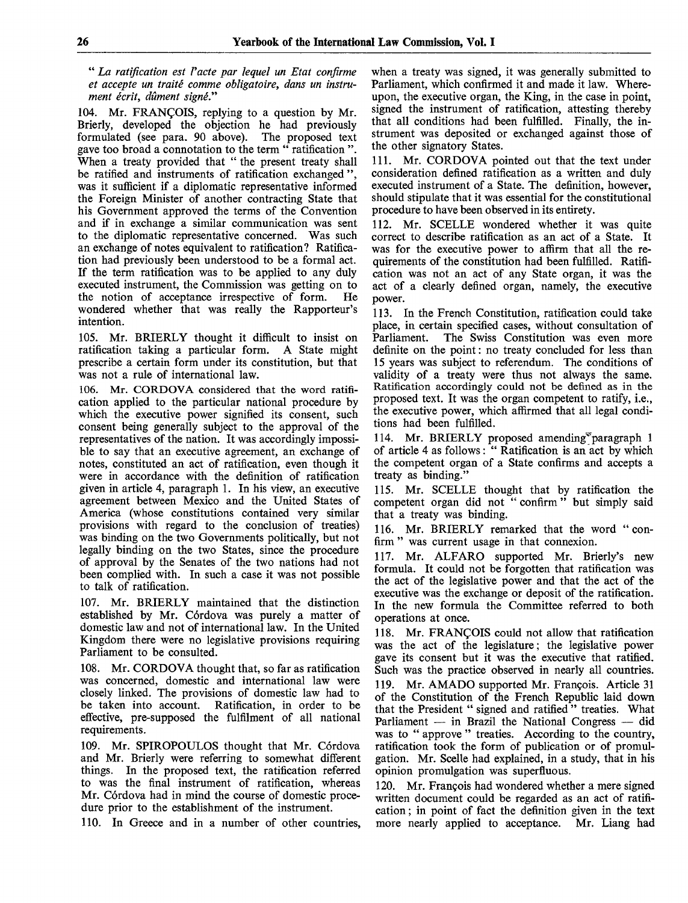" *La ratification est Vacte par lequel un Etat confirme et accepte un traite comme obligatoire, dans un instrument ecrit, dument signe."*

104. Mr. FRANCOIS, replying to a question by Mr. Brierly, developed the objection he had previously formulated (see para. 90 above). The proposed text formulated (see para.  $90$  above). gave too broad a connotation to the term " ratification ". When a treaty provided that " the present treaty shall be ratified and instruments of ratification exchanged ". was it sufficient if a diplomatic representative informed the Foreign Minister of another contracting State that his Government approved the terms of the Convention and if in exchange a similar communication was sent to the diplomatic representative concerned. Was such an exchange of notes equivalent to ratification? Ratification had previously been understood to be a formal act. If the term ratification was to be applied to any duly executed instrument, the Commission was getting on to the notion of acceptance irrespective of form. He wondered whether that was really the Rapporteur's intention.

105. Mr. BRIERLY thought it difficult to insist on ratification taking a particular form. A State might prescribe a certain form under its constitution, but that was not a rule of international law.

106. Mr. CORDOVA considered that the word ratification applied to the particular national procedure by which the executive power signified its consent, such consent being generally subject to the approval of the representatives of the nation. It was accordingly impossible to say that an executive agreement, an exchange of notes, constituted an act of ratification, even though it were in accordance with the definition of ratification given in article 4, paragraph 1. In his view, an executive agreement between Mexico and the United States of America (whose constitutions contained very similar provisions with regard to the conclusion of treaties) was binding on the two Governments politically, but not legally binding on the two States, since the procedure of approval by the Senates of the two nations had not been complied with. In such a case it was not possible to talk of ratification.

107. Mr. BRIERLY maintained that the distinction established by Mr. Córdova was purely a matter of domestic law and not of international law. In the United Kingdom there were no legislative provisions requiring Parliament to be consulted.

108. Mr. CORDOVA thought that, so far as ratification was concerned, domestic and international law were closely linked. The provisions of domestic law had to be taken into account. Ratification, in order to be effective, pre-supposed the fulfilment of all national requirements.

109. Mr. SPIROPOULOS thought that Mr. Córdova and Mr. Brierly were referring to somewhat different things. In the proposed text, the ratification referred to was the final instrument of ratification, whereas Mr. Córdova had in mind the course of domestic procedure prior to the establishment of the instrument.

110. In Greece and in a number of other countries,

when a treaty was signed, it was generally submitted to Parliament, which confirmed it and made it law. Whereupon, the executive organ, the King, in the case in point, signed the instrument of ratification, attesting thereby that all conditions had been fulfilled. Finally, the instrument was deposited or exchanged against those of the other signatory States.

111. Mr. CORDOVA pointed out that the text under consideration defined ratification as a written and duly executed instrument of a State. The definition, however, should stipulate that it was essential for the constitutional procedure to have been observed in its entirety.

112. Mr. SCELLE wondered whether it was quite correct to describe ratification as an act of a State. It was for the executive power to affirm that all the requirements of the constitution had been fulfilled. Ratification was not an act of any State organ, it was the act of a clearly defined organ, namely, the executive power.

113. In the French Constitution, ratification could take place, in certain specified cases, without consultation of The Swiss Constitution was even more definite on the point: no treaty concluded for less than 15 years was subject to referendum. The conditions of validity of a treaty were thus not always the same. Ratification accordingly could not be defined as in the proposed text. It was the organ competent to ratify, i.e., the executive power, which affirmed that all legal conditions had been fulfilled.

114. Mr. BRIERLY proposed amending paragraph 1 of article 4 as follows: " Ratification is an act by which the competent organ of a State confirms and accepts a treaty as binding."

115. Mr. SCELLE thought that by ratification the competent organ did not " confirm" but simply said that a treaty was binding.

116. Mr. BRIERLY remarked that the word "confirm " was current usage in that connexion.

117. Mr. ALFARO supported Mr. Brierly's new formula. It could not be forgotten that ratification was the act of the legislative power and that the act of the executive was the exchange or deposit of the ratification. In the new formula the Committee referred to both operations at once.

118. Mr. FRANCOIS could not allow that ratification was the act of the legislature; the legislative power gave its consent but it was the executive that ratified. Such was the practice observed in nearly all countries. 119. Mr. AMADO supported Mr. Francois. Article 31 of the Constitution of the French Republic laid down that the President " signed and ratified " treaties. What Parliament — in Brazil the National Congress — did was to " approve " treaties. According to the country, ratification took the form of publication or of promulgation. Mr. Scelle had explained, in a study, that in his opinion promulgation was superfluous.

120. Mr. Francois had wondered whether a mere signed written document could be regarded as an act of ratification ; in point of fact the definition given in the text more nearly applied to acceptance. Mr. Liang had